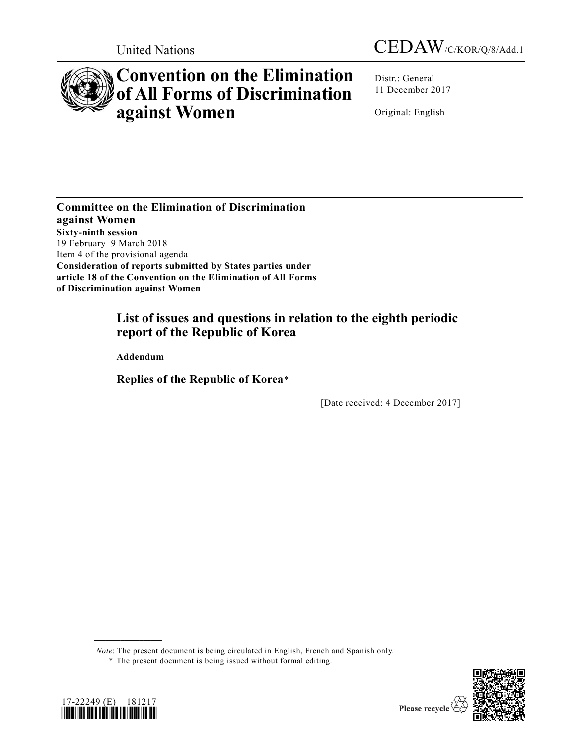



# **Convention on the Elimination of All Forms of Discrimination against Women**

Distr.: General 11 December 2017

Original: English

**Committee on the Elimination of Discrimination against Women Sixty-ninth session**  19 February–9 March 2018 Item 4 of the provisional agenda **Consideration of reports submitted by States parties under article 18 of the Convention on the Elimination of All Forms of Discrimination against Women**

# **List of issues and questions in relation to the eighth periodic report of the Republic of Korea**

**Addendum**

**Replies of the Republic of Korea**\*

[Date received: 4 December 2017]

*Note*: The present document is being circulated in English, French and Spanish only.





**\_\_\_\_\_\_\_\_\_\_\_\_\_\_\_\_\_\_**

<sup>\*</sup> The present document is being issued without formal editing.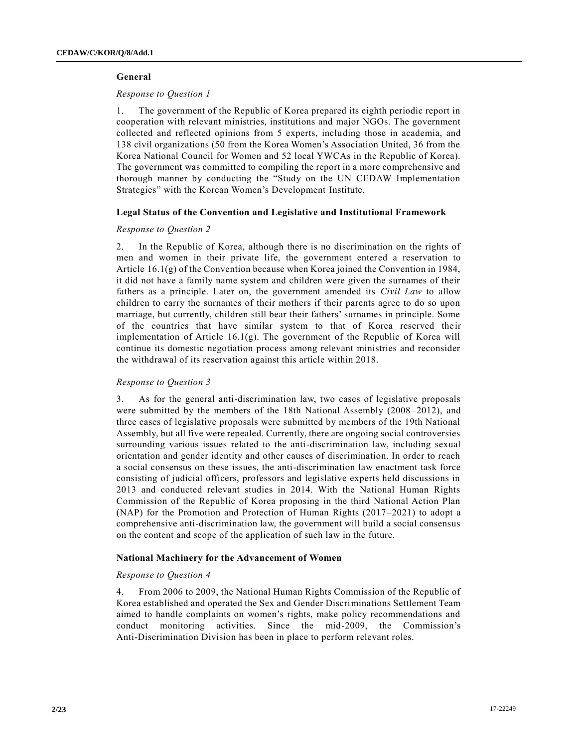## **General**

## *Response to Question 1*

1. The government of the Republic of Korea prepared its eighth periodic report in cooperation with relevant ministries, institutions and major NGOs. The government collected and reflected opinions from 5 experts, including those in academia, and 138 civil organizations (50 from the Korea Women's Association United, 36 from the Korea National Council for Women and 52 local YWCAs in the Republic of Korea). The government was committed to compiling the report in a more comprehensive and thorough manner by conducting the "Study on the UN CEDAW Implementation Strategies" with the Korean Women's Development Institute.

## **Legal Status of the Convention and Legislative and Institutional Framework**

## *Response to Question 2*

2. In the Republic of Korea, although there is no discrimination on the rights of men and women in their private life, the government entered a reservation to Article 16.1(g) of the Convention because when Korea joined the Convention in 1984, it did not have a family name system and children were given the surnames of their fathers as a principle. Later on, the government amended its *Civil Law* to allow children to carry the surnames of their mothers if their parents agree to do so upon marriage, but currently, children still bear their fathers' surnames in principle. Some of the countries that have similar system to that of Korea reserved the ir implementation of Article 16.1(g). The government of the Republic of Korea will continue its domestic negotiation process among relevant ministries and reconsider the withdrawal of its reservation against this article within 2018.

## *Response to Question 3*

3. As for the general anti-discrimination law, two cases of legislative proposals were submitted by the members of the 18th National Assembly (2008–2012), and three cases of legislative proposals were submitted by members of the 19th National Assembly, but all five were repealed. Currently, there are ongoing social controversies surrounding various issues related to the anti-discrimination law, including sexual orientation and gender identity and other causes of discrimination. In order to reach a social consensus on these issues, the anti-discrimination law enactment task force consisting of judicial officers, professors and legislative experts held discussions in 2013 and conducted relevant studies in 2014. With the National Human Rights Commission of the Republic of Korea proposing in the third National Action Plan (NAP) for the Promotion and Protection of Human Rights (2017–2021) to adopt a comprehensive anti-discrimination law, the government will build a social consensus on the content and scope of the application of such law in the future.

# **National Machinery for the Advancement of Women**

## *Response to Question 4*

4. From 2006 to 2009, the National Human Rights Commission of the Republic of Korea established and operated the Sex and Gender Discriminations Settlement Team aimed to handle complaints on women's rights, make policy recommendations and conduct monitoring activities. Since the mid-2009, the Commission's Anti-Discrimination Division has been in place to perform relevant roles.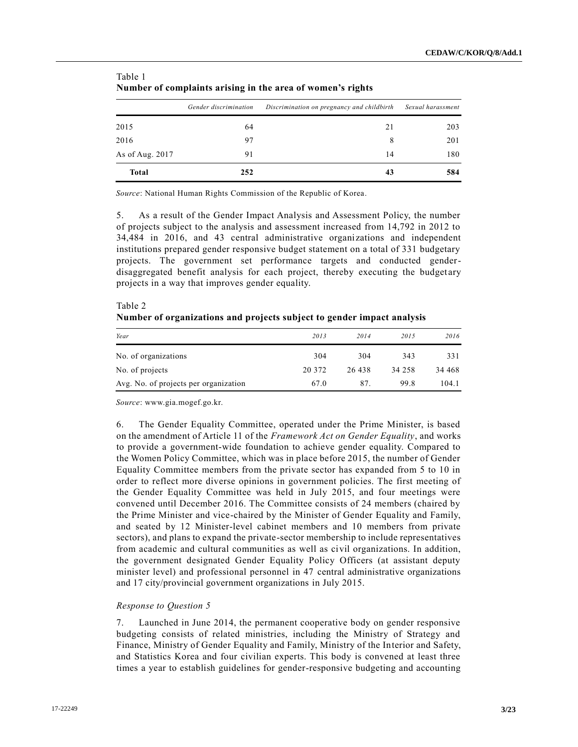|                 | rumoti oi compiunto arionig in the area or women o rights |                                            |                   |  |  |
|-----------------|-----------------------------------------------------------|--------------------------------------------|-------------------|--|--|
|                 | Gender discrimination                                     | Discrimination on pregnancy and childbirth | Sexual harassment |  |  |
| 2015            | 64                                                        | 21                                         | 203               |  |  |
| 2016            | 97                                                        | 8                                          | 201               |  |  |
| As of Aug. 2017 | 91                                                        | 14                                         | 180               |  |  |
| <b>Total</b>    | 252                                                       | 43                                         | 584               |  |  |

Table 1 **Number of complaints arising in the area of women's rights**

*Source*: National Human Rights Commission of the Republic of Korea.

5. As a result of the Gender Impact Analysis and Assessment Policy, the number of projects subject to the analysis and assessment increased from 14,792 in 2012 to 34,484 in 2016, and 43 central administrative organizations and independent institutions prepared gender responsive budget statement on a total of 331 budgetary projects. The government set performance targets and conducted genderdisaggregated benefit analysis for each project, thereby executing the budgetary projects in a way that improves gender equality.

| Number of organizations and projects subject to gender impact analysis |        |        |        |         |
|------------------------------------------------------------------------|--------|--------|--------|---------|
| Year                                                                   | 2013   | 2014   | 2015   | 2016    |
| No. of organizations                                                   | 304    | 304    | 343    | 331     |
| No. of projects                                                        | 20 372 | 26.438 | 34 258 | 34 4 68 |
| Avg. No. of projects per organization                                  | 67.0   | 87.    | 99.8   | 104.1   |

Table 2

*Source*: www.gia.mogef.go.kr.

6. The Gender Equality Committee, operated under the Prime Minister, is based on the amendment of Article 11 of the *Framework Act on Gender Equality*, and works to provide a government-wide foundation to achieve gender equality. Compared to the Women Policy Committee, which was in place before 2015, the number of Gender Equality Committee members from the private sector has expanded from 5 to 10 in order to reflect more diverse opinions in government policies. The first meeting of the Gender Equality Committee was held in July 2015, and four meetings were convened until December 2016. The Committee consists of 24 members (chaired by the Prime Minister and vice-chaired by the Minister of Gender Equality and Family, and seated by 12 Minister-level cabinet members and 10 members from private sectors), and plans to expand the private-sector membership to include representatives from academic and cultural communities as well as civil organizations. In addition, the government designated Gender Equality Policy Officers (at assistant deputy minister level) and professional personnel in 47 central administrative organizations and 17 city/provincial government organizations in July 2015.

## *Response to Question 5*

7. Launched in June 2014, the permanent cooperative body on gender responsive budgeting consists of related ministries, including the Ministry of Strategy and Finance, Ministry of Gender Equality and Family, Ministry of the Interior and Safety, and Statistics Korea and four civilian experts. This body is convened at least three times a year to establish guidelines for gender-responsive budgeting and accounting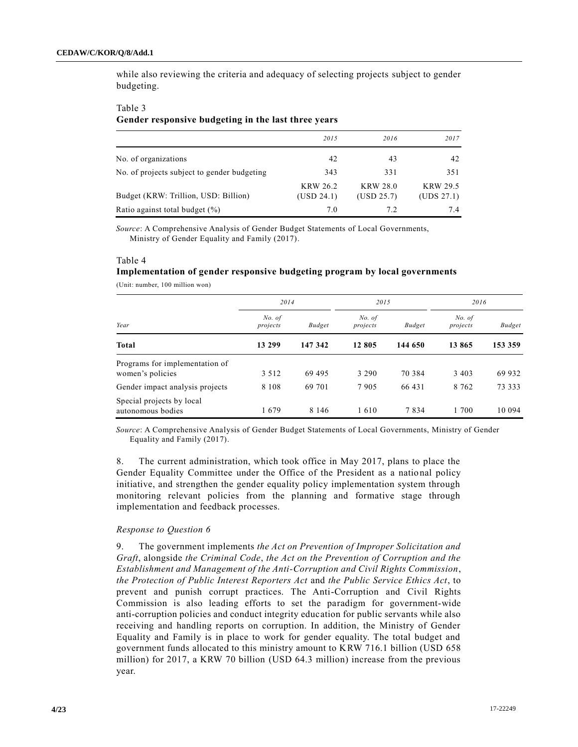while also reviewing the criteria and adequacy of selecting projects subject to gender budgeting.

#### Table 3

### **Gender responsive budgeting in the last three years**

|                                             | 2015                          | 2016                          | 2017                          |
|---------------------------------------------|-------------------------------|-------------------------------|-------------------------------|
| No. of organizations                        | 42                            | 43                            | 42                            |
| No. of projects subject to gender budgeting | 343                           | 331                           | 351                           |
| Budget (KRW: Trillion, USD: Billion)        | <b>KRW 26.2</b><br>(USD 24.1) | <b>KRW 28.0</b><br>(USD 25.7) | <b>KRW 29.5</b><br>(UDS 27.1) |
| Ratio against total budget $(\%)$           | 7.0                           | 7.2                           | 74                            |

*Source*: A Comprehensive Analysis of Gender Budget Statements of Local Governments, Ministry of Gender Equality and Family (2017).

#### Table 4

# **Implementation of gender responsive budgeting program by local governments**

(Unit: number, 100 million won)

|                                                    | 2014               |               | 2015               |               | 2016               |               |
|----------------------------------------------------|--------------------|---------------|--------------------|---------------|--------------------|---------------|
| Year                                               | No. of<br>projects | <b>Budget</b> | No. of<br>projects | <b>Budget</b> | No. of<br>projects | <b>Budget</b> |
| <b>Total</b>                                       | 13 299             | 147 342       | 12 805             | 144 650       | 13 865             | 153 359       |
| Programs for implementation of<br>women's policies | 3 5 1 2            | 69 495        | 3 2 9 0            | 70 384        | 3 4 0 3            | 69 932        |
| Gender impact analysis projects                    | 8 1 0 8            | 69 701        | 7905               | 66 431        | 8 7 6 2            | 73 333        |
| Special projects by local<br>autonomous bodies     | 1679               | 8 1 4 6       | 1610               | 7834          | 1 700              | 10 094        |

*Source*: A Comprehensive Analysis of Gender Budget Statements of Local Governments, Ministry of Gender Equality and Family (2017).

8. The current administration, which took office in May 2017, plans to place the Gender Equality Committee under the Office of the President as a national policy initiative, and strengthen the gender equality policy implementation system through monitoring relevant policies from the planning and formative stage through implementation and feedback processes.

## *Response to Question 6*

9. The government implements *the Act on Prevention of Improper Solicitation and Graft*, alongside *the Criminal Code*, *the Act on the Prevention of Corruption and the Establishment and Management of the Anti-Corruption and Civil Rights Commission*, *the Protection of Public Interest Reporters Act* and *the Public Service Ethics Act*, to prevent and punish corrupt practices. The Anti-Corruption and Civil Rights Commission is also leading efforts to set the paradigm for government-wide anti-corruption policies and conduct integrity education for public servants while also receiving and handling reports on corruption. In addition, the Ministry of Gender Equality and Family is in place to work for gender equality. The total budget and government funds allocated to this ministry amount to KRW 716.1 billion (USD 658 million) for 2017, a KRW 70 billion (USD 64.3 million) increase from the previous year.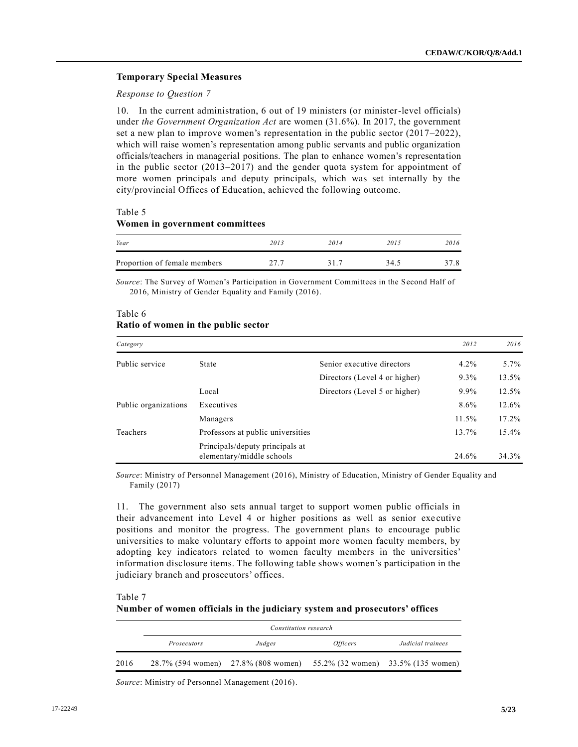## **Temporary Special Measures**

## *Response to Question 7*

10. In the current administration, 6 out of 19 ministers (or minister-level officials) under *the Government Organization Act* are women (31.6%). In 2017, the government set a new plan to improve women's representation in the public sector (2017–2022), which will raise women's representation among public servants and public organization officials/teachers in managerial positions. The plan to enhance women's representation in the public sector (2013–2017) and the gender quota system for appointment of more women principals and deputy principals, which was set internally by the city/provincial Offices of Education, achieved the following outcome.

# Table 5

## **Women in government committees**

| Year                         | 2013 | 2014 | 2015 | 2016 |
|------------------------------|------|------|------|------|
| Proportion of female members |      | 317  | 34.5 |      |

*Source*: The Survey of Women's Participation in Government Committees in the Second Half of 2016, Ministry of Gender Equality and Family (2016).

## Table 6 **Ratio of women in the public sector**

| Category             |                                                              |                               | 2012    | 2016    |
|----------------------|--------------------------------------------------------------|-------------------------------|---------|---------|
| Public service       | State                                                        | Senior executive directors    | $4.2\%$ | $5.7\%$ |
|                      |                                                              | Directors (Level 4 or higher) | $9.3\%$ | 13.5%   |
|                      | Local                                                        | Directors (Level 5 or higher) | 9.9%    | 12.5%   |
| Public organizations | Executives                                                   |                               | 8.6%    | 12.6%   |
|                      | Managers                                                     |                               | 11.5%   | 17.2%   |
| Teachers             | Professors at public universities                            |                               | 13.7%   | 15.4%   |
|                      | Principals/deputy principals at<br>elementary/middle schools |                               | 24.6%   | 34.3%   |

*Source*: Ministry of Personnel Management (2016), Ministry of Education, Ministry of Gender Equality and Family (2017)

11. The government also sets annual target to support women public officials in their advancement into Level 4 or higher positions as well as senior exe cutive positions and monitor the progress. The government plans to encourage public universities to make voluntary efforts to appoint more women faculty members, by adopting key indicators related to women faculty members in the universities' information disclosure items. The following table shows women's participation in the judiciary branch and prosecutors' offices.

Table 7

## **Number of women officials in the judiciary system and prosecutors' offices**

|      |             | Constitution research               |                 |                                    |
|------|-------------|-------------------------------------|-----------------|------------------------------------|
|      | Prosecutors | Judges                              | <i>Officers</i> | Judicial trainees                  |
| 2016 |             | 28.7% (594 women) 27.8% (808 women) |                 | 55.2% (32 women) 33.5% (135 women) |

*Source*: Ministry of Personnel Management (2016).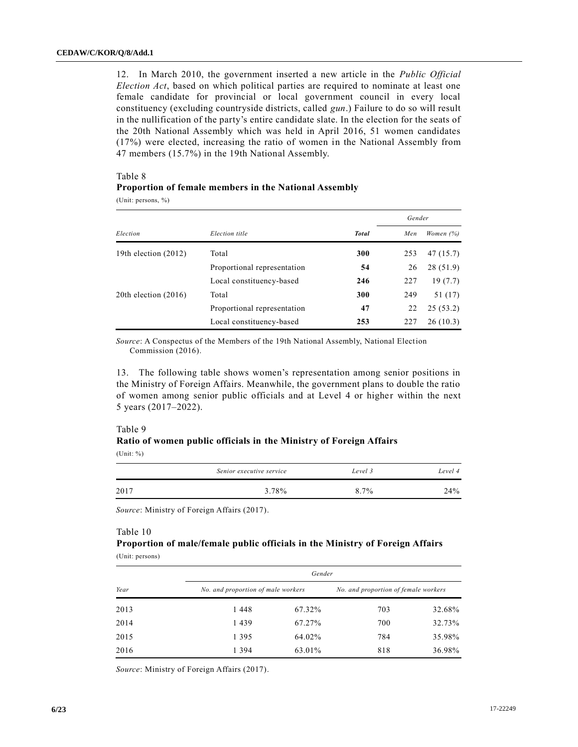12. In March 2010, the government inserted a new article in the *Public Official Election Act*, based on which political parties are required to nominate at least one female candidate for provincial or local government council in every local constituency (excluding countryside districts, called *gun*.) Failure to do so will result in the nullification of the party's entire candidate slate. In the election for the seats of the 20th National Assembly which was held in April 2016, 51 women candidates (17%) were elected, increasing the ratio of women in the National Assembly from 47 members (15.7%) in the 19th National Assembly.

## Table 8

## **Proportion of female members in the National Assembly**

(Unit: persons, %)

|                        |                             |              | Gender |             |
|------------------------|-----------------------------|--------------|--------|-------------|
| Election               | Election title              | <b>Total</b> | Men    | Women $(%)$ |
| 19th election $(2012)$ | Total                       | 300          | 253    | 47(15.7)    |
|                        | Proportional representation | 54           | 26     | 28(51.9)    |
|                        | Local constituency-based    | 246          | 227    | 19(7.7)     |
| 20th election $(2016)$ | Total                       | 300          | 249    | 51 (17)     |
|                        | Proportional representation | 47           | 22     | 25(53.2)    |
|                        | Local constituency-based    | 253          | 227    | 26(10.3)    |

*Source*: A Conspectus of the Members of the 19th National Assembly, National Election Commission (2016).

13. The following table shows women's representation among senior positions in the Ministry of Foreign Affairs. Meanwhile, the government plans to double the ratio of women among senior public officials and at Level 4 or higher within the next 5 years (2017–2022).

### Table 9

## **Ratio of women public officials in the Ministry of Foreign Affairs** (Unit: %)

|      | Senior executive service | Level 3 | Level 4 |
|------|--------------------------|---------|---------|
| 2017 | 3.78%                    | 8.7%    | $24\%$  |

*Source*: Ministry of Foreign Affairs (2017).

### Table 10

# **Proportion of male/female public officials in the Ministry of Foreign Affairs** (Unit: persons)

|      |                                    | Gender |                                      |        |
|------|------------------------------------|--------|--------------------------------------|--------|
| Year | No. and proportion of male workers |        | No. and proportion of female workers |        |
| 2013 | 1448                               | 67.32% | 703                                  | 32.68% |
| 2014 | 1439                               | 67.27% | 700                                  | 32.73% |
| 2015 | 1 3 9 5                            | 64.02% | 784                                  | 35.98% |
| 2016 | 1 3 9 4                            | 63.01% | 818                                  | 36.98% |

*Source*: Ministry of Foreign Affairs (2017).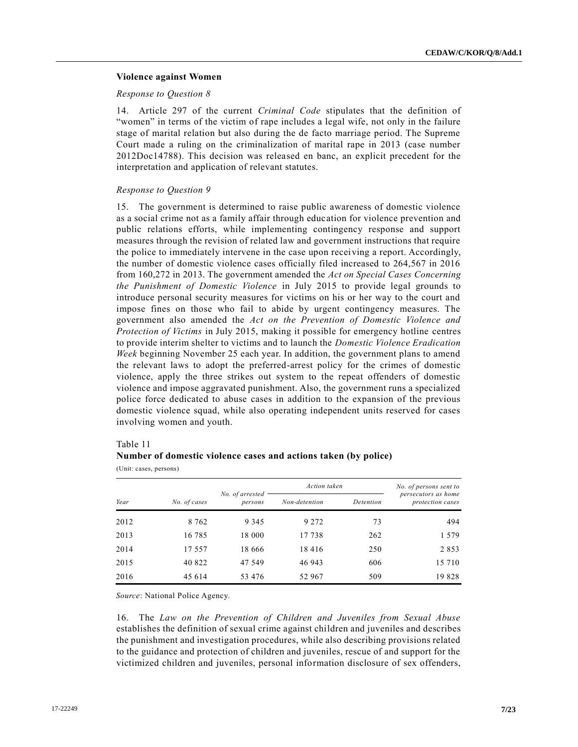## **Violence against Women**

## *Response to Question 8*

14. Article 297 of the current *Criminal Code* stipulates that the definition of "women" in terms of the victim of rape includes a legal wife, not only in the failure stage of marital relation but also during the de facto marriage period. The Supreme Court made a ruling on the criminalization of marital rape in 2013 (case number 2012Doc14788). This decision was released en banc, an explicit precedent for the interpretation and application of relevant statutes.

## *Response to Question 9*

15. The government is determined to raise public awareness of domestic violence as a social crime not as a family affair through education for violence prevention and public relations efforts, while implementing contingency response and support measures through the revision of related law and government instructions that require the police to immediately intervene in the case upon receiving a report. Accordingly, the number of domestic violence cases officially filed increased to 264,567 in 2016 from 160,272 in 2013. The government amended the *Act on Special Cases Concerning the Punishment of Domestic Violence* in July 2015 to provide legal grounds to introduce personal security measures for victims on his or her way to the court and impose fines on those who fail to abide by urgent contingency measures. The government also amended the *Act on the Prevention of Domestic Violence and Protection of Victims* in July 2015, making it possible for emergency hotline centres to provide interim shelter to victims and to launch the *Domestic Violence Eradication Week* beginning November 25 each year. In addition, the government plans to amend the relevant laws to adopt the preferred-arrest policy for the crimes of domestic violence, apply the three strikes out system to the repeat offenders of domestic violence and impose aggravated punishment. Also, the government runs a specialized police force dedicated to abuse cases in addition to the expansion of the previous domestic violence squad, while also operating independent units reserved for cases involving women and youth.

## Table 11

# **Number of domestic violence cases and actions taken (by police)**

(Unit: cases, persons)

|      | Action taken |                            |               | No. of persons sent to |                                         |
|------|--------------|----------------------------|---------------|------------------------|-----------------------------------------|
| Year | No. of cases | No. of arrested<br>persons | Non-detention | Detention              | persecutors as home<br>protection cases |
| 2012 | 8 7 6 2      | 9 3 4 5                    | 9 2 7 2       | 73                     | 494                                     |
| 2013 | 16 785       | 18 000                     | 17 738        | 262                    | 1579                                    |
| 2014 | 17 557       | 18 666                     | 18416         | 250                    | 2853                                    |
| 2015 | 40 822       | 47 549                     | 46 943        | 606                    | 15 7 10                                 |
| 2016 | 45 614       | 53 476                     | 52 967        | 509                    | 19828                                   |

*Source*: National Police Agency.

16. The *Law on the Prevention of Children and Juveniles from Sexual Abuse* establishes the definition of sexual crime against children and juveniles and describes the punishment and investigation procedures, while also describing provisions related to the guidance and protection of children and juveniles, rescue of and support for the victimized children and juveniles, personal information disclosure of sex offenders,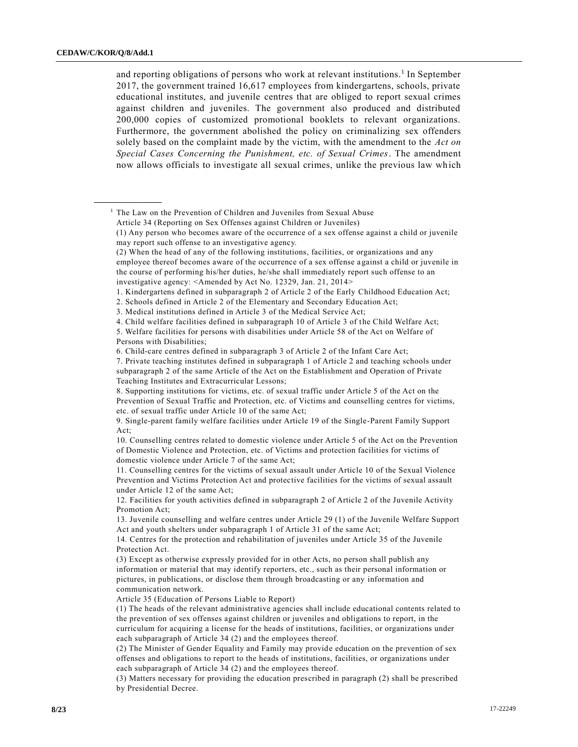**\_\_\_\_\_\_\_\_\_\_\_\_\_\_\_\_\_\_**

and reporting obligations of persons who work at relevant institutions. 1 In September 2017, the government trained 16,617 employees from kindergartens, schools, private educational institutes, and juvenile centres that are obliged to report sexual crimes against children and juveniles. The government also produced and distributed 200,000 copies of customized promotional booklets to relevant organizations. Furthermore, the government abolished the policy on criminalizing sex offenders solely based on the complaint made by the victim, with the amendment to the *Act on Special Cases Concerning the Punishment, etc. of Sexual Crimes*. The amendment now allows officials to investigate all sexual crimes, unlike the previous law wh ich

<sup>1</sup> The Law on the Prevention of Children and Juveniles from Sexual Abuse Article 34 (Reporting on Sex Offenses against Children or Juveniles)

Article 35 (Education of Persons Liable to Report)

(1) The heads of the relevant administrative agencies shall include educational contents related to the prevention of sex offenses against children or juveniles and obligations to report, in the curriculum for acquiring a license for the heads of institutions, facilities, or organizations under each subparagraph of Article 34 (2) and the employees thereof.

(2) The Minister of Gender Equality and Family may provide education on the prevention of sex offenses and obligations to report to the heads of institutions, facilities, or organizations under each subparagraph of Article 34 (2) and the employees thereof.

(3) Matters necessary for providing the education prescribed in paragraph (2) shall be prescribed by Presidential Decree.

<sup>(1)</sup> Any person who becomes aware of the occurrence of a sex offense against a child or juvenile may report such offense to an investigative agency.

<sup>(2)</sup> When the head of any of the following institutions, facilities, or organizations and any employee thereof becomes aware of the occurrence of a sex offense against a child or juvenile in the course of performing his/her duties, he/she shall immediately report such offense to an investigative agency: <Amended by Act No. 12329, Jan. 21, 2014>

<sup>1.</sup> Kindergartens defined in subparagraph 2 of Article 2 of the Early Childhood Education Act;

<sup>2.</sup> Schools defined in Article 2 of the Elementary and Secondary Education Act;

<sup>3.</sup> Medical institutions defined in Article 3 of the Medical Service Act;

<sup>4.</sup> Child welfare facilities defined in subparagraph 10 of Article 3 of the Child Welfare Act;

<sup>5.</sup> Welfare facilities for persons with disabilities under Article 58 of the Act on Welfare of Persons with Disabilities;

<sup>6.</sup> Child-care centres defined in subparagraph 3 of Article 2 of the Infant Care Act;

<sup>7.</sup> Private teaching institutes defined in subparagraph 1 of Article 2 and teaching schools under subparagraph 2 of the same Article of the Act on the Establishment and Operation of Private Teaching Institutes and Extracurricular Lessons;

<sup>8.</sup> Supporting institutions for victims, etc. of sexual traffic under Article 5 of the Act on the Prevention of Sexual Traffic and Protection, etc. of Victims and counselling centres for victims, etc. of sexual traffic under Article 10 of the same Act;

<sup>9.</sup> Single-parent family welfare facilities under Article 19 of the Single-Parent Family Support Act;

<sup>10.</sup> Counselling centres related to domestic violence under Article 5 of the Act on the Prevention of Domestic Violence and Protection, etc. of Victims and protection facilities for victims of domestic violence under Article 7 of the same Act;

<sup>11.</sup> Counselling centres for the victims of sexual assault under Article 10 of the Sexual Violence Prevention and Victims Protection Act and protective facilities for the victims of sexual assault under Article 12 of the same Act;

<sup>12.</sup> Facilities for youth activities defined in subparagraph 2 of Article 2 of the Juvenile Activity Promotion Act;

<sup>13.</sup> Juvenile counselling and welfare centres under Article 29 (1) of the Juvenile Welfare Support Act and youth shelters under subparagraph 1 of Article 31 of the same Act;

<sup>14.</sup> Centres for the protection and rehabilitation of juveniles under Article 35 of the Juvenile Protection Act.

<sup>(3)</sup> Except as otherwise expressly provided for in other Acts, no person shall publish any information or material that may identify reporters, etc., such as their personal information or pictures, in publications, or disclose them through broadcasting or any information and communication network.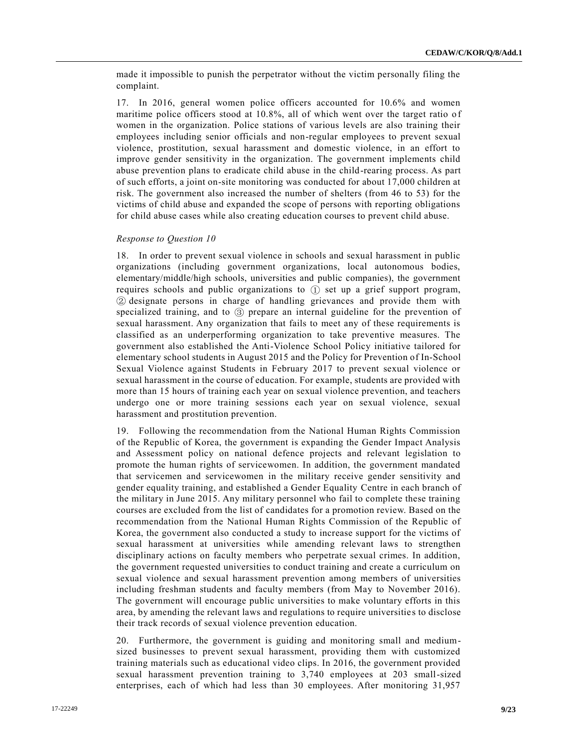made it impossible to punish the perpetrator without the victim personally filing the complaint.

17. In 2016, general women police officers accounted for 10.6% and women maritime police officers stood at 10.8%, all of which went over the target ratio of women in the organization. Police stations of various levels are also training their employees including senior officials and non-regular employees to prevent sexual violence, prostitution, sexual harassment and domestic violence, in an effort to improve gender sensitivity in the organization. The government implements child abuse prevention plans to eradicate child abuse in the child-rearing process. As part of such efforts, a joint on-site monitoring was conducted for about 17,000 children at risk. The government also increased the number of shelters (from 46 to 53) for the victims of child abuse and expanded the scope of persons with reporting obligations for child abuse cases while also creating education courses to prevent child abuse.

## *Response to Question 10*

18. In order to prevent sexual violence in schools and sexual harassment in public organizations (including government organizations, local autonomous bodies, elementary/middle/high schools, universities and public companies), the government requires schools and public organizations to ① set up a grief support program, ② designate persons in charge of handling grievances and provide them with specialized training, and to ③ prepare an internal guideline for the prevention of sexual harassment. Any organization that fails to meet any of these requirements is classified as an underperforming organization to take preventive measures. The government also established the Anti-Violence School Policy initiative tailored for elementary school students in August 2015 and the Policy for Prevention of In-School Sexual Violence against Students in February 2017 to prevent sexual violence or sexual harassment in the course of education. For example, students are provided with more than 15 hours of training each year on sexual violence prevention, and teachers undergo one or more training sessions each year on sexual violence, sexual harassment and prostitution prevention.

19. Following the recommendation from the National Human Rights Commission of the Republic of Korea, the government is expanding the Gender Impact Analysis and Assessment policy on national defence projects and relevant legislation to promote the human rights of servicewomen. In addition, the government mandated that servicemen and servicewomen in the military receive gender sensitivity and gender equality training, and established a Gender Equality Centre in each branch of the military in June 2015. Any military personnel who fail to complete these training courses are excluded from the list of candidates for a promotion review. Based on the recommendation from the National Human Rights Commission of the Republic of Korea, the government also conducted a study to increase support for the victims of sexual harassment at universities while amending relevant laws to strengthen disciplinary actions on faculty members who perpetrate sexual crimes. In addition, the government requested universities to conduct training and create a curriculum on sexual violence and sexual harassment prevention among members of universities including freshman students and faculty members (from May to November 2016). The government will encourage public universities to make voluntary efforts in this area, by amending the relevant laws and regulations to require universitie s to disclose their track records of sexual violence prevention education.

20. Furthermore, the government is guiding and monitoring small and mediumsized businesses to prevent sexual harassment, providing them with customized training materials such as educational video clips. In 2016, the government provided sexual harassment prevention training to 3,740 employees at 203 small-sized enterprises, each of which had less than 30 employees. After monitoring 31,957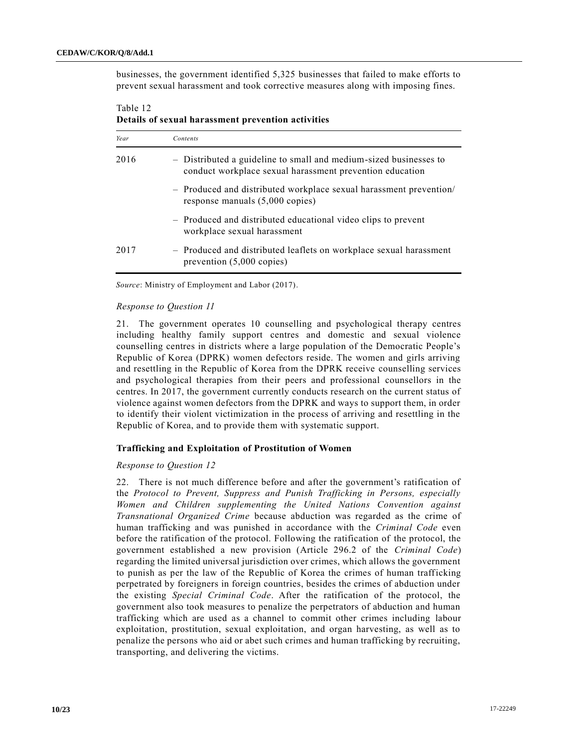businesses, the government identified 5,325 businesses that failed to make efforts to prevent sexual harassment and took corrective measures along with imposing fines.

Table 12 **Details of sexual harassment prevention activities**

| Year | Contents                                                                                                                      |
|------|-------------------------------------------------------------------------------------------------------------------------------|
| 2016 | - Distributed a guideline to small and medium-sized businesses to<br>conduct workplace sexual harassment prevention education |
|      | - Produced and distributed workplace sexual harassment prevention/<br>response manuals (5,000 copies)                         |
|      | - Produced and distributed educational video clips to prevent<br>workplace sexual harassment                                  |
| 2017 | - Produced and distributed leaflets on workplace sexual harassment<br>prevention $(5,000 \text{ copies})$                     |

*Source*: Ministry of Employment and Labor (2017).

## *Response to Question 11*

21. The government operates 10 counselling and psychological therapy centres including healthy family support centres and domestic and sexual violence counselling centres in districts where a large population of the Democratic People's Republic of Korea (DPRK) women defectors reside. The women and girls arriving and resettling in the Republic of Korea from the DPRK receive counselling services and psychological therapies from their peers and professional counsellors in the centres. In 2017, the government currently conducts research on the current status of violence against women defectors from the DPRK and ways to support them, in order to identify their violent victimization in the process of arriving and resettling in the Republic of Korea, and to provide them with systematic support.

#### **Trafficking and Exploitation of Prostitution of Women**

## *Response to Question 12*

22. There is not much difference before and after the government's ratification of the *Protocol to Prevent, Suppress and Punish Trafficking in Persons, especially Women and Children supplementing the United Nations Convention against Transnational Organized Crime* because abduction was regarded as the crime of human trafficking and was punished in accordance with the *Criminal Code* even before the ratification of the protocol. Following the ratification of the protocol, the government established a new provision (Article 296.2 of the *Criminal Code*) regarding the limited universal jurisdiction over crimes, which allows the government to punish as per the law of the Republic of Korea the crimes of human trafficking perpetrated by foreigners in foreign countries, besides the crimes of abduction under the existing *Special Criminal Code*. After the ratification of the protocol, the government also took measures to penalize the perpetrators of abduction and human trafficking which are used as a channel to commit other crimes including labour exploitation, prostitution, sexual exploitation, and organ harvesting, as well as to penalize the persons who aid or abet such crimes and human trafficking by recruiting, transporting, and delivering the victims.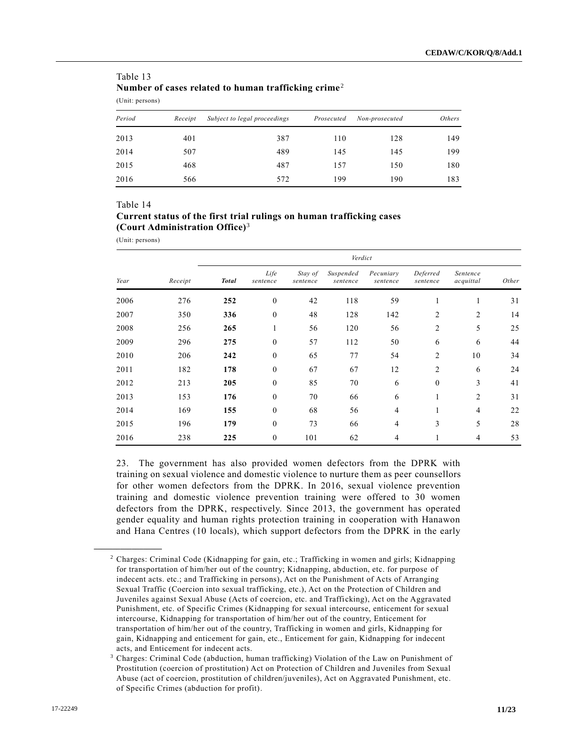| (Unit: persons) |         |                              |            |                |               |  |  |  |  |  |
|-----------------|---------|------------------------------|------------|----------------|---------------|--|--|--|--|--|
| Period          | Receipt | Subject to legal proceedings | Prosecuted | Non-prosecuted | <i>Others</i> |  |  |  |  |  |
| 2013            | 401     | 387                          | 110        | 128            | 149           |  |  |  |  |  |
| 2014            | 507     | 489                          | 145        | 145            | 199           |  |  |  |  |  |
| 2015            | 468     | 487                          | 157        | 150            | 180           |  |  |  |  |  |
| 2016            | 566     | 572                          | 199        | 190            | 183           |  |  |  |  |  |

# Table 13 **Number of cases related to human trafficking crime**<sup>2</sup>

#### Table 14

# **Current status of the first trial rulings on human trafficking cases (Court Administration Office)**<sup>3</sup>

(Unit: persons)

**\_\_\_\_\_\_\_\_\_\_\_\_\_\_\_\_\_\_**

|      |         | Verdict      |                  |                     |                       |                       |                      |                       |       |  |  |
|------|---------|--------------|------------------|---------------------|-----------------------|-----------------------|----------------------|-----------------------|-------|--|--|
| Year | Receipt | <b>Total</b> | Life<br>sentence | Stay of<br>sentence | Suspended<br>sentence | Pecuniary<br>sentence | Deferred<br>sentence | Sentence<br>acquittal | Other |  |  |
| 2006 | 276     | 252          | $\theta$         | 42                  | 118                   | 59                    | I.                   | 1                     | 31    |  |  |
| 2007 | 350     | 336          | $\mathbf{0}$     | 48                  | 128                   | 142                   | 2                    | $\overline{2}$        | 14    |  |  |
| 2008 | 256     | 265          | 1                | 56                  | 120                   | 56                    | 2                    | 5                     | 25    |  |  |
| 2009 | 296     | 275          | $\mathbf{0}$     | 57                  | 112                   | 50                    | 6                    | 6                     | 44    |  |  |
| 2010 | 206     | 242          | $\mathbf{0}$     | 65                  | 77                    | 54                    | 2                    | 10                    | 34    |  |  |
| 2011 | 182     | 178          | $\mathbf{0}$     | 67                  | 67                    | 12                    | 2                    | 6                     | 24    |  |  |
| 2012 | 213     | 205          | $\theta$         | 85                  | 70                    | 6                     | $\theta$             | 3                     | 41    |  |  |
| 2013 | 153     | 176          | $\mathbf{0}$     | 70                  | 66                    | 6                     | л.                   | $\overline{2}$        | 31    |  |  |
| 2014 | 169     | 155          | $\mathbf{0}$     | 68                  | 56                    | $\overline{4}$        | 1                    | $\overline{4}$        | 22    |  |  |
| 2015 | 196     | 179          | $\mathbf{0}$     | 73                  | 66                    | $\overline{4}$        | 3                    | 5                     | 28    |  |  |
| 2016 | 238     | 225          | $\mathbf{0}$     | 101                 | 62                    | $\overline{4}$        |                      | $\overline{4}$        | 53    |  |  |

23. The government has also provided women defectors from the DPRK with training on sexual violence and domestic violence to nurture them as peer counsellors for other women defectors from the DPRK. In 2016, sexual violence prevention training and domestic violence prevention training were offered to 30 women defectors from the DPRK, respectively. Since 2013, the government has operated gender equality and human rights protection training in cooperation with Hanawon and Hana Centres (10 locals), which support defectors from the DPRK in the early

<sup>2</sup> Charges: Criminal Code (Kidnapping for gain, etc.; Trafficking in women and girls; Kidnapping for transportation of him/her out of the country; Kidnapping, abduction, etc. for purpose of indecent acts. etc.; and Trafficking in persons), Act on the Punishment of Acts of Arranging Sexual Traffic (Coercion into sexual trafficking, etc.), Act on the Protection of Children and Juveniles against Sexual Abuse (Acts of coercion, etc. and Trafficking), Act on the Aggravated Punishment, etc. of Specific Crimes (Kidnapping for sexual intercourse, enticement for sexual intercourse, Kidnapping for transportation of him/her out of the country, Enticement for transportation of him/her out of the country, Trafficking in women and girls, Kidnapping for gain, Kidnapping and enticement for gain, etc., Enticement for gain, Kidnapping for indecent acts, and Enticement for indecent acts.

<sup>3</sup> Charges: Criminal Code (abduction, human trafficking) Violation of the Law on Punishment of Prostitution (coercion of prostitution) Act on Protection of Children and Juveniles from Sexual Abuse (act of coercion, prostitution of children/juveniles), Act on Aggravated Punishment, etc. of Specific Crimes (abduction for profit).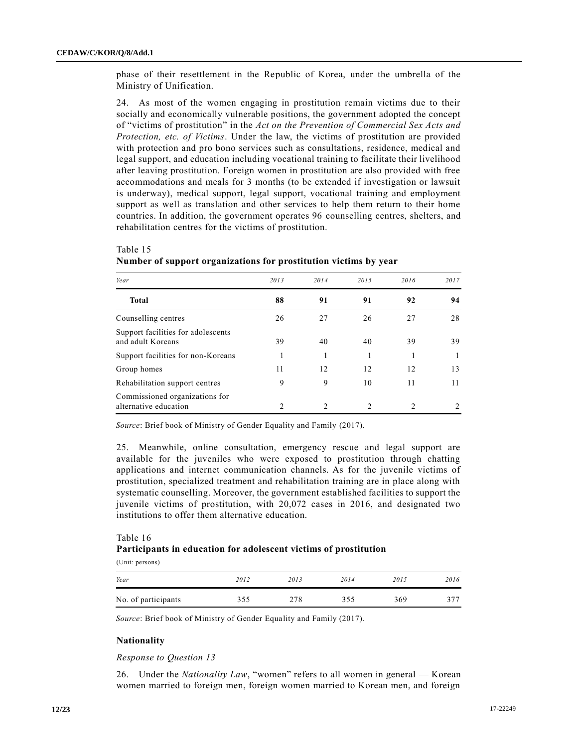phase of their resettlement in the Republic of Korea, under the umbrella of the Ministry of Unification.

24. As most of the women engaging in prostitution remain victims due to their socially and economically vulnerable positions, the government adopted the concept of "victims of prostitution" in the *Act on the Prevention of Commercial Sex Acts and Protection, etc. of Victims*. Under the law, the victims of prostitution are provided with protection and pro bono services such as consultations, residence, medical and legal support, and education including vocational training to facilitate their livelihood after leaving prostitution. Foreign women in prostitution are also provided with free accommodations and meals for 3 months (to be extended if investigation or lawsuit is underway), medical support, legal support, vocational training and employment support as well as translation and other services to help them return to their home countries. In addition, the government operates 96 counselling centres, shelters, and rehabilitation centres for the victims of prostitution.

| Year                                                    | 2013 | 2014           | 2015 | 2016 | 2017 |
|---------------------------------------------------------|------|----------------|------|------|------|
| Total                                                   | 88   | 91             | 91   | 92   | 94   |
| Counselling centres                                     | 26   | 27             | 26   | 27   | 28   |
| Support facilities for adolescents<br>and adult Koreans | 39   | 40             | 40   | 39   | 39   |
| Support facilities for non-Koreans                      |      |                |      |      |      |
| Group homes                                             | 11   | 12             | 12   | 12   | 13   |
| Rehabilitation support centres                          | 9    | 9              | 10   | 11   | 11   |
| Commissioned organizations for<br>alternative education | 2    | $\mathfrak{D}$ | 2    | 2    | 2    |

# Table 15 **Number of support organizations for prostitution victims by year**

*Source*: Brief book of Ministry of Gender Equality and Family (2017).

25. Meanwhile, online consultation, emergency rescue and legal support are available for the juveniles who were exposed to prostitution through chatting applications and internet communication channels. As for the juvenile victims of prostitution, specialized treatment and rehabilitation training are in place along with systematic counselling. Moreover, the government established facilities to support the juvenile victims of prostitution, with 20,072 cases in 2016, and designated two institutions to offer them alternative education.

# Table 16 **Participants in education for adolescent victims of prostitution**

(Unit: persons)

| Year                | 2012         | 2013 | 2014 | 2015 | 2016 |
|---------------------|--------------|------|------|------|------|
| No. of participants | 255<br>ر ر ر | 278  | 355  | 369  | 277  |

*Source*: Brief book of Ministry of Gender Equality and Family (2017).

## **Nationality**

*Response to Question 13*

26. Under the *Nationality Law*, "women" refers to all women in general — Korean women married to foreign men, foreign women married to Korean men, and foreign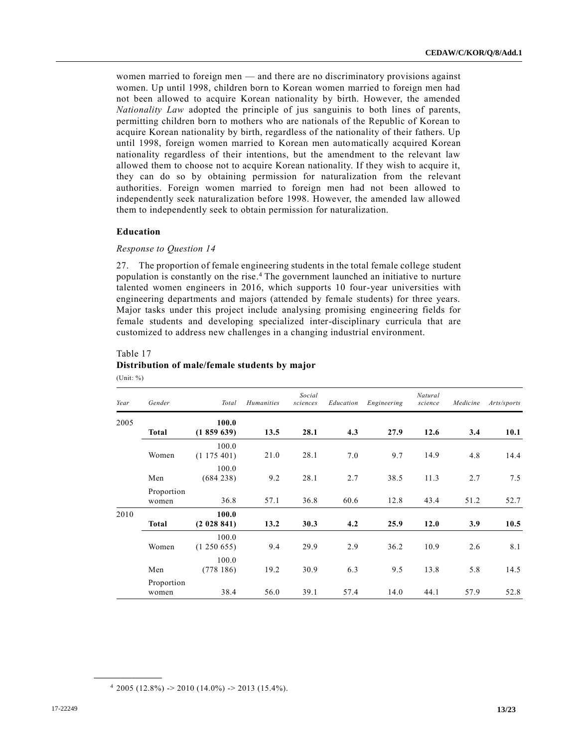women married to foreign men — and there are no discriminatory provisions against women. Up until 1998, children born to Korean women married to foreign men had not been allowed to acquire Korean nationality by birth. However, the amended *Nationality Law* adopted the principle of jus sanguinis to both lines of parents, permitting children born to mothers who are nationals of the Republic of Korean to acquire Korean nationality by birth, regardless of the nationality of their fathers. Up until 1998, foreign women married to Korean men automatically acquired Korean nationality regardless of their intentions, but the amendment to the relevant law allowed them to choose not to acquire Korean nationality. If they wish to acquire it, they can do so by obtaining permission for naturalization from the relevant authorities. Foreign women married to foreign men had not been allowed to independently seek naturalization before 1998. However, the amended law allowed them to independently seek to obtain permission for naturalization.

## **Education**

## *Response to Question 14*

27. The proportion of female engineering students in the total female college student population is constantly on the rise. <sup>4</sup> The government launched an initiative to nurture talented women engineers in 2016, which supports 10 four-year universities with engineering departments and majors (attended by female students) for three years. Major tasks under this project include analysing promising engineering fields for female students and developing specialized inter-disciplinary curricula that are customized to address new challenges in a changing industrial environment.

## Table 17

## **Distribution of male/female students by major**

(Unit: %)

**\_\_\_\_\_\_\_\_\_\_\_\_\_\_\_\_\_\_**

| Year | Gender              | Total                | <b>Humanities</b> | Social<br>sciences | Education | Engineering | Natural<br>science | Medicine | Arts/sports |
|------|---------------------|----------------------|-------------------|--------------------|-----------|-------------|--------------------|----------|-------------|
| 2005 | Total               | 100.0<br>(1859639)   | 13.5              | 28.1               | 4.3       | 27.9        | 12.6               | 3.4      | 10.1        |
|      | Women               | 100.0<br>(1175401)   | 21.0              | 28.1               | 7.0       | 9.7         | 14.9               | 4.8      | 14.4        |
|      | Men                 | 100.0<br>(684 238)   | 9.2               | 28.1               | 2.7       | 38.5        | 11.3               | 2.7      | 7.5         |
|      | Proportion<br>women | 36.8                 | 57.1              | 36.8               | 60.6      | 12.8        | 43.4               | 51.2     | 52.7        |
| 2010 | Total               | 100.0<br>(2 028 841) | 13.2              | 30.3               | 4.2       | 25.9        | 12.0               | 3.9      | 10.5        |
|      | Women               | 100.0<br>(1250655)   | 9.4               | 29.9               | 2.9       | 36.2        | 10.9               | 2.6      | 8.1         |
|      | Men                 | 100.0<br>(778186)    | 19.2              | 30.9               | 6.3       | 9.5         | 13.8               | 5.8      | 14.5        |
|      | Proportion<br>women | 38.4                 | 56.0              | 39.1               | 57.4      | 14.0        | 44.1               | 57.9     | 52.8        |

 $4\ 2005\ (12.8\%) \rightarrow 2010\ (14.0\%) \rightarrow 2013\ (15.4\%).$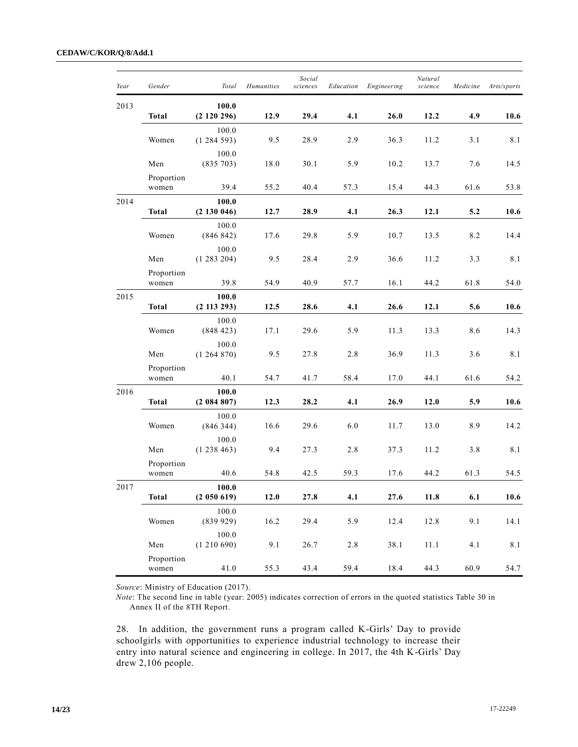| Year | Gender              | Total                    | <b>Humanities</b> | Social<br>sciences | Education | Engineering | Natural<br>science | Medicine | Arts/sports |
|------|---------------------|--------------------------|-------------------|--------------------|-----------|-------------|--------------------|----------|-------------|
| 2013 | <b>Total</b>        | 100.0<br>(2120296)       | 12.9              | 29.4               | 4.1       | 26.0        | 12.2               | 4.9      | 10.6        |
|      | Women               | 100.0<br>(1284593)       | 9.5               | 28.9               | 2.9       | 36.3        | 11.2               | 3.1      | 8.1         |
|      | Men                 | 100.0<br>(835 703)       | 18.0              | 30.1               | 5.9       | 10.2        | 13.7               | 7.6      | 14.5        |
|      | Proportion<br>women | 39.4                     | 55.2              | 40.4               | 57.3      | 15.4        | 44.3               | 61.6     | 53.8        |
| 2014 | Total               | 100.0<br>(2130046)       | 12.7              | 28.9               | 4.1       | 26.3        | 12.1               | 5.2      | 10.6        |
|      | Women               | 100.0<br>(846 842)       | 17.6              | 29.8               | 5.9       | 10.7        | 13.5               | 8.2      | 14.4        |
|      | Men                 | 100.0<br>(1283204)       | 9.5               | 28.4               | 2.9       | 36.6        | 11.2               | 3.3      | 8.1         |
|      | Proportion<br>women | 39.8                     | 54.9              | 40.9               | 57.7      | 16.1        | 44.2               | 61.8     | 54.0        |
| 2015 | Total               | 100.0<br>$(2\ 113\ 293)$ | 12.5              | 28.6               | 4.1       | 26.6        | 12.1               | 5.6      | 10.6        |
|      | Women               | 100.0<br>(848423)        | 17.1              | 29.6               | 5.9       | 11.3        | 13.3               | 8.6      | 14.3        |
|      | Men                 | 100.0<br>(1264870)       | 9.5               | 27.8               | 2.8       | 36.9        | 11.3               | 3.6      | 8.1         |
|      | Proportion<br>women | 40.1                     | 54.7              | 41.7               | 58.4      | 17.0        | 44.1               | 61.6     | 54.2        |
| 2016 | <b>Total</b>        | 100.0<br>(2084807)       | 12.3              | 28.2               | 4.1       | 26.9        | 12.0               | 5.9      | 10.6        |
|      | Women               | 100.0<br>(846344)        | 16.6              | 29.6               | 6.0       | 11.7        | 13.0               | 8.9      | 14.2        |
|      | Men                 | 100.0<br>(1238463)       | 9.4               | 27.3               | $2.8\,$   | 37.3        | 11.2               | 3.8      | 8.1         |
|      | Proportion<br>women | 40.6                     | 54.8              | 42.5               | 59.3      | 17.6        | 44.2               | 61.3     | 54.5        |
| 2017 | <b>Total</b>        | 100.0<br>(2 050 619)     | $12.0$            | 27.8               | 4.1       | 27.6        | 11.8               | 6.1      | 10.6        |
|      | Women               | 100.0<br>(839929)        | 16.2              | 29.4               | 5.9       | 12.4        | 12.8               | 9.1      | 14.1        |
|      | Men                 | 100.0<br>(1210690)       | 9.1               | 26.7               | $2.8\,$   | 38.1        | 11.1               | 4.1      | $8.1\,$     |
|      | Proportion<br>women | 41.0                     | 55.3              | 43.4               | 59.4      | 18.4        | 44.3               | 60.9     | 54.7        |

*Source*: Ministry of Education (2017).

*Note*: The second line in table (year: 2005) indicates correction of errors in the quoted statistics Table 30 in Annex II of the 8TH Report.

28. In addition, the government runs a program called K-Girls' Day to provide schoolgirls with opportunities to experience industrial technology to increase their entry into natural science and engineering in college. In 2017, the 4th K-Girls' Day drew 2,106 people.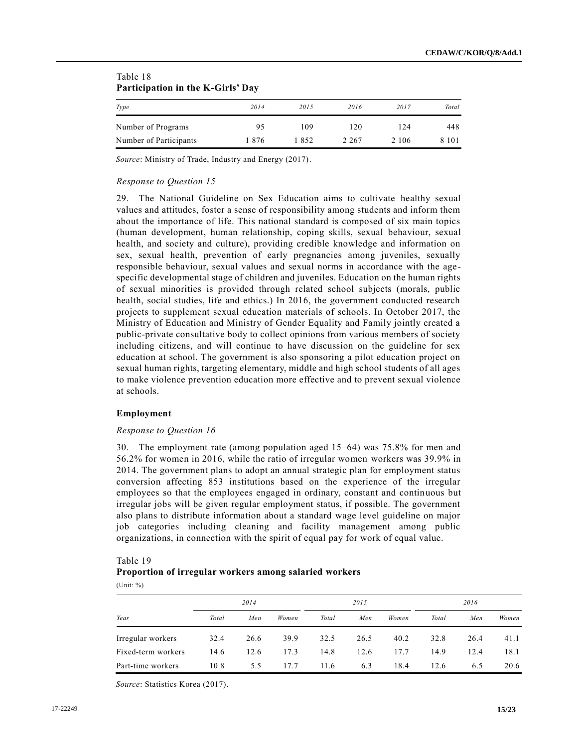| Participation in the K-Girls' Day |      |      |       |         |         |  |  |  |  |  |  |
|-----------------------------------|------|------|-------|---------|---------|--|--|--|--|--|--|
| Type                              | 2014 | 2015 | 2016  | 2017    | Total   |  |  |  |  |  |  |
| Number of Programs                | 95   | 109  | 120   | 124     | 448     |  |  |  |  |  |  |
| Number of Participants            | 1876 | 1852 | 2.267 | 2 1 0 6 | 8 1 0 1 |  |  |  |  |  |  |

# Table 18 **Participation in the K-Girls' Day**

*Source*: Ministry of Trade, Industry and Energy (2017).

## *Response to Question 15*

29. The National Guideline on Sex Education aims to cultivate healthy sexual values and attitudes, foster a sense of responsibility among students and inform them about the importance of life. This national standard is composed of six main topics (human development, human relationship, coping skills, sexual behaviour, sexual health, and society and culture), providing credible knowledge and information on sex, sexual health, prevention of early pregnancies among juveniles, sexually responsible behaviour, sexual values and sexual norms in accordance with the agespecific developmental stage of children and juveniles. Education on the human rights of sexual minorities is provided through related school subjects (morals, public health, social studies, life and ethics.) In 2016, the government conducted research projects to supplement sexual education materials of schools. In October 2017, the Ministry of Education and Ministry of Gender Equality and Family jointly created a public-private consultative body to collect opinions from various members of society including citizens, and will continue to have discussion on the guideline for sex education at school. The government is also sponsoring a pilot education project on sexual human rights, targeting elementary, middle and high school students of all ages to make violence prevention education more effective and to prevent sexual violence at schools.

## **Employment**

## *Response to Question 16*

30. The employment rate (among population aged 15–64) was 75.8% for men and 56.2% for women in 2016, while the ratio of irregular women workers was 39.9% in 2014. The government plans to adopt an annual strategic plan for employment status conversion affecting 853 institutions based on the experience of the irregular employees so that the employees engaged in ordinary, constant and continuous but irregular jobs will be given regular employment status, if possible. The government also plans to distribute information about a standard wage level guideline on major job categories including cleaning and facility management among public organizations, in connection with the spirit of equal pay for work of equal value.

# Table 19 **Proportion of irregular workers among salaried workers**

(Unit: %)

|                    | 2014  |      |       | 2015  |      |       | 2016  |      |       |
|--------------------|-------|------|-------|-------|------|-------|-------|------|-------|
| Year               | Total | Men  | Women | Total | Men  | Women | Total | Men  | Women |
| Irregular workers  | 32.4  | 26.6 | 39.9  | 32.5  | 26.5 | 40.2  | 32.8  | 26.4 | 41.1  |
| Fixed-term workers | 14.6  | 12.6 | 17.3  | 14.8  | 12.6 | 17.7  | 14.9  | 12.4 | 18.1  |
| Part-time workers  | 10.8  | 5.5  | 177   | 11.6  | 6.3  | 18.4  | 12.6  | 6.5  | 20.6  |

*Source*: Statistics Korea (2017).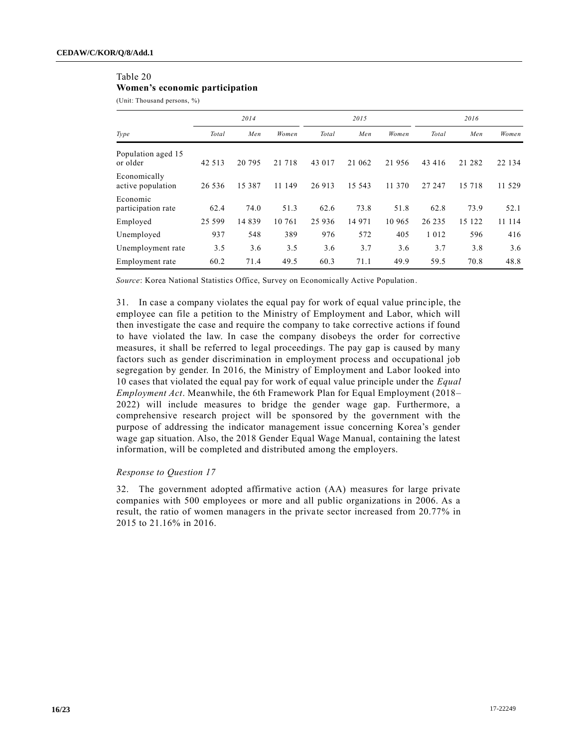# Table 20

**Women's economic participation**

(Unit: Thousand persons, %)

|                                   | 2014    |         |         | 2015    |         |        | 2016    |         |        |
|-----------------------------------|---------|---------|---------|---------|---------|--------|---------|---------|--------|
| Type                              | Total   | Men     | Women   | Total   | Men     | Women  | Total   | Men     | Women  |
| Population aged 15<br>or older    | 42 5 13 | 20 79 5 | 21 7 18 | 43 017  | 21 062  | 21 956 | 43 416  | 21 282  | 22 134 |
| Economically<br>active population | 26 53 6 | 15 387  | 11 149  | 26 913  | 15 5 43 | 11 370 | 27 247  | 15 7 18 | 11 529 |
| Economic<br>participation rate    | 62.4    | 74.0    | 51.3    | 62.6    | 73.8    | 51.8   | 62.8    | 73.9    | 52.1   |
| Employed                          | 25 599  | 14839   | 10 761  | 25 9 36 | 14 971  | 10 965 | 26 235  | 15 122  | 11 114 |
| Unemployed                        | 937     | 548     | 389     | 976     | 572     | 405    | 1 0 1 2 | 596     | 416    |
| Unemployment rate                 | 3.5     | 3.6     | 3.5     | 3.6     | 3.7     | 3.6    | 3.7     | 3.8     | 3.6    |
| Employment rate                   | 60.2    | 71.4    | 49.5    | 60.3    | 71.1    | 49.9   | 59.5    | 70.8    | 48.8   |

*Source*: Korea National Statistics Office, Survey on Economically Active Population.

31. In case a company violates the equal pay for work of equal value princ iple, the employee can file a petition to the Ministry of Employment and Labor, which will then investigate the case and require the company to take corrective actions if found to have violated the law. In case the company disobeys the order for corrective measures, it shall be referred to legal proceedings. The pay gap is caused by many factors such as gender discrimination in employment process and occupational job segregation by gender. In 2016, the Ministry of Employment and Labor looked into 10 cases that violated the equal pay for work of equal value principle under the *Equal Employment Act*. Meanwhile, the 6th Framework Plan for Equal Employment (2018– 2022) will include measures to bridge the gender wage gap. Furthermore, a comprehensive research project will be sponsored by the government with the purpose of addressing the indicator management issue concerning Korea's gender wage gap situation. Also, the 2018 Gender Equal Wage Manual, containing the latest information, will be completed and distributed among the employers.

## *Response to Question 17*

32. The government adopted affirmative action (AA) measures for large private companies with 500 employees or more and all public organizations in 2006. As a result, the ratio of women managers in the private sector increased from 20.77% in 2015 to 21.16% in 2016.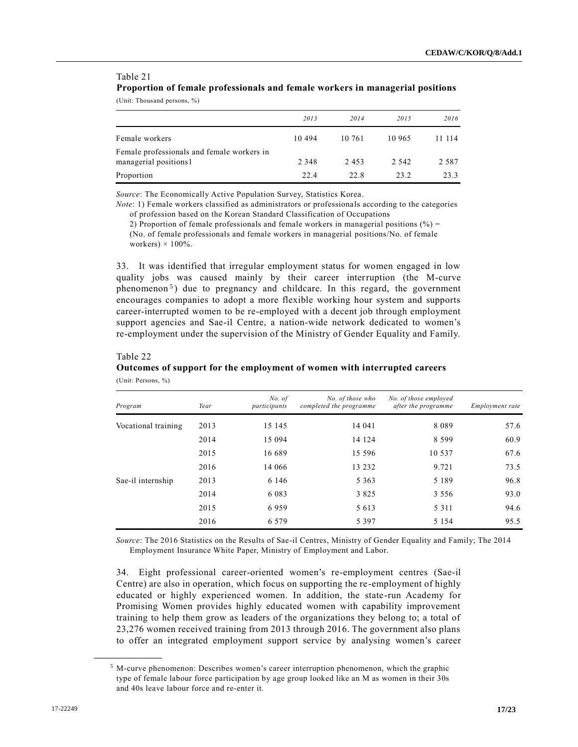# Table 21 **Proportion of female professionals and female workers in managerial positions**

(Unit: Thousand persons, %)

|                                                                     | 2013    | 2014   | 2015    | 2016    |
|---------------------------------------------------------------------|---------|--------|---------|---------|
| Female workers                                                      | 10494   | 10.761 | 10 965  | 11 114  |
| Female professionals and female workers in<br>managerial positions1 | 2 3 4 8 | 2453   | 2 5 4 2 | 2 5 8 7 |
| Proportion                                                          | 22.4    | 22.8   | 23.2    | 23.3    |

*Source*: The Economically Active Population Survey, Statistics Korea.

*Note*: 1) Female workers classified as administrators or professionals according to the categories of profession based on the Korean Standard Classification of Occupations

2) Proportion of female professionals and female workers in managerial positions  $(\% )$  = (No. of female professionals and female workers in managerial positions/No. of female workers)  $\times$  100%.

33. It was identified that irregular employment status for women engaged in low quality jobs was caused mainly by their career interruption (the M-curve phenomenon<sup>5</sup>) due to pregnancy and childcare. In this regard, the government encourages companies to adopt a more flexible working hour system and supports career-interrupted women to be re-employed with a decent job through employment support agencies and Sae-il Centre, a nation-wide network dedicated to women's re-employment under the supervision of the Ministry of Gender Equality and Family.

## Table 22

**\_\_\_\_\_\_\_\_\_\_\_\_\_\_\_\_\_\_**

## **Outcomes of support for the employment of women with interrupted careers** (Unit: Persons, %)

| Program             | Year | No. of<br>participants | No. of those who<br>completed the programme | No. of those employed<br>after the programme | <i>Employment rate</i> |
|---------------------|------|------------------------|---------------------------------------------|----------------------------------------------|------------------------|
| Vocational training | 2013 | 15 145                 | 14 04 1                                     | 8089                                         | 57.6                   |
|                     | 2014 | 15 094                 | 14 124                                      | 8 5 9 9                                      | 60.9                   |
|                     | 2015 | 16 689                 | 15 5 9 6                                    | 10 537                                       | 67.6                   |
|                     | 2016 | 14 066                 | 13 232                                      | 9.721                                        | 73.5                   |
| Sae-il internship   | 2013 | 6 1 4 6                | 5 3 6 3                                     | 5 1 8 9                                      | 96.8                   |
|                     | 2014 | 6 0 8 3                | 3 8 2 5                                     | 3 5 5 6                                      | 93.0                   |
|                     | 2015 | 6959                   | 5 6 1 3                                     | 5 3 1 1                                      | 94.6                   |
|                     | 2016 | 6 5 7 9                | 5 3 9 7                                     | 5 1 5 4                                      | 95.5                   |

*Source*: The 2016 Statistics on the Results of Sae-il Centres, Ministry of Gender Equality and Family; The 2014 Employment Insurance White Paper, Ministry of Employment and Labor.

34. Eight professional career-oriented women's re-employment centres (Sae-il Centre) are also in operation, which focus on supporting the re-employment of highly educated or highly experienced women. In addition, the state-run Academy for Promising Women provides highly educated women with capability improvement training to help them grow as leaders of the organizations they belong to; a total of 23,276 women received training from 2013 through 2016. The government also plans to offer an integrated employment support service by analysing women's career

 $<sup>5</sup>$  M-curve phenomenon: Describes women's career interruption phenomenon, which the graphic</sup> type of female labour force participation by age group looked like an M as women in their 30s and 40s leave labour force and re-enter it.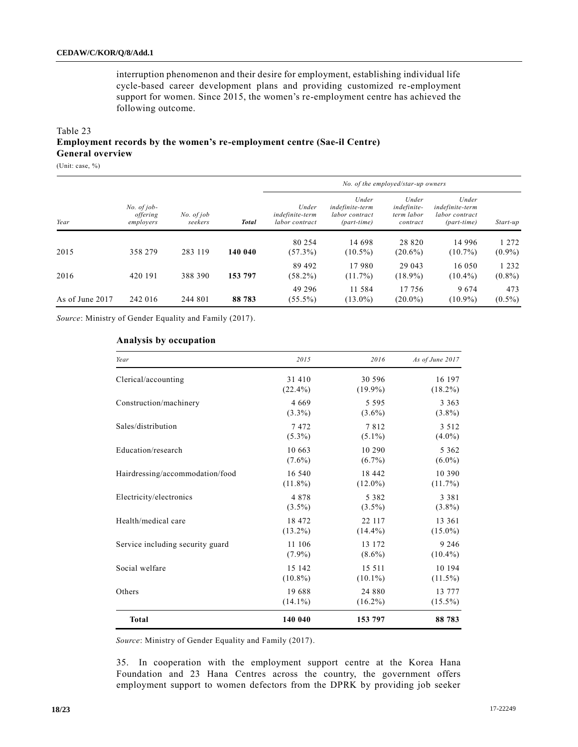interruption phenomenon and their desire for employment, establishing individual life cycle-based career development plans and providing customized re-employment support for women. Since 2015, the women's re-employment centre has achieved the following outcome.

## Table 23 **Employment records by the women's re-employment centre (Sae-il Centre) General overview**

(Unit: case, %)

|                 |                                        |                       |              |                                            |                                                             | No. of the employed/star-up owners             |                                                             |                      |
|-----------------|----------------------------------------|-----------------------|--------------|--------------------------------------------|-------------------------------------------------------------|------------------------------------------------|-------------------------------------------------------------|----------------------|
| Year            | $No. of job-$<br>offering<br>employers | No. of job<br>seekers | <b>Total</b> | Under<br>indefinite-term<br>labor contract | Under<br>indefinite-term<br>labor contract<br>$(part-time)$ | Under<br>indefinite-<br>term labor<br>contract | Under<br>indefinite-term<br>labor contract<br>$(part-time)$ | Start-up             |
| 2015            | 358 279                                | 283 119               | 140 040      | 80 254<br>$(57.3\%)$                       | 14 698<br>$(10.5\%)$                                        | 28 8 20<br>$(20.6\%)$                          | 14 9 9 6<br>$(10.7\%)$                                      | 1 2 7 2<br>$(0.9\%)$ |
| 2016            | 420 191                                | 388 390               | 153 797      | 89 492<br>$(58.2\%)$                       | 17980<br>$(11.7\%)$                                         | 29 043<br>$(18.9\%)$                           | 16 050<br>$(10.4\%)$                                        | 1 2 3 2<br>$(0.8\%)$ |
| As of June 2017 | 242 016                                | 244 801               | 88 783       | 49 29 6<br>$(55.5\%)$                      | 11 584<br>$(13.0\%)$                                        | 17 756<br>$(20.0\%)$                           | 9674<br>$(10.9\%)$                                          | 473<br>$(0.5\%)$     |

*Source*: Ministry of Gender Equality and Family (2017).

## **Analysis by occupation**

| Year                             | 2015       | 2016       | As of June 2017 |
|----------------------------------|------------|------------|-----------------|
| Clerical/accounting              | 31 410     | 30 596     | 16 197          |
|                                  | $(22.4\%)$ | $(19.9\%)$ | $(18.2\%)$      |
| Construction/machinery           | 4669       | 5 5 9 5    | 3 3 6 3         |
|                                  | $(3.3\%)$  | $(3.6\%)$  | $(3.8\%)$       |
| Sales/distribution               | 7472       | 7812       | 3 5 1 2         |
|                                  | $(5.3\%)$  | $(5.1\%)$  | $(4.0\%)$       |
| Education/research               | 10 663     | 10 290     | 5 3 6 2         |
|                                  | $(7.6\%)$  | $(6.7\%)$  | $(6.0\%)$       |
| Hairdressing/accommodation/food  | 16 540     | 18 442     | 10 390          |
|                                  | $(11.8\%)$ | $(12.0\%)$ | $(11.7\%)$      |
| Electricity/electronics          | 4878       | 5 3 8 2    | 3 3 8 1         |
|                                  | $(3.5\%)$  | $(3.5\%)$  | $(3.8\%)$       |
| Health/medical care              | 18 472     | 22 117     | 13 361          |
|                                  | $(13.2\%)$ | $(14.4\%)$ | $(15.0\%)$      |
| Service including security guard | 11 106     | 13 172     | 9 2 4 6         |
|                                  | $(7.9\%)$  | $(8.6\%)$  | $(10.4\%)$      |
| Social welfare                   | 15 142     | 15 5 11    | 10 194          |
|                                  | $(10.8\%)$ | $(10.1\%)$ | $(11.5\%)$      |
| Others                           | 19688      | 24 880     | 13 777          |
|                                  | $(14.1\%)$ | $(16.2\%)$ | $(15.5\%)$      |
| <b>Total</b>                     | 140 040    | 153 797    | 88 783          |

*Source*: Ministry of Gender Equality and Family (2017).

35. In cooperation with the employment support centre at the Korea Hana Foundation and 23 Hana Centres across the country, the government offers employment support to women defectors from the DPRK by providing job seeker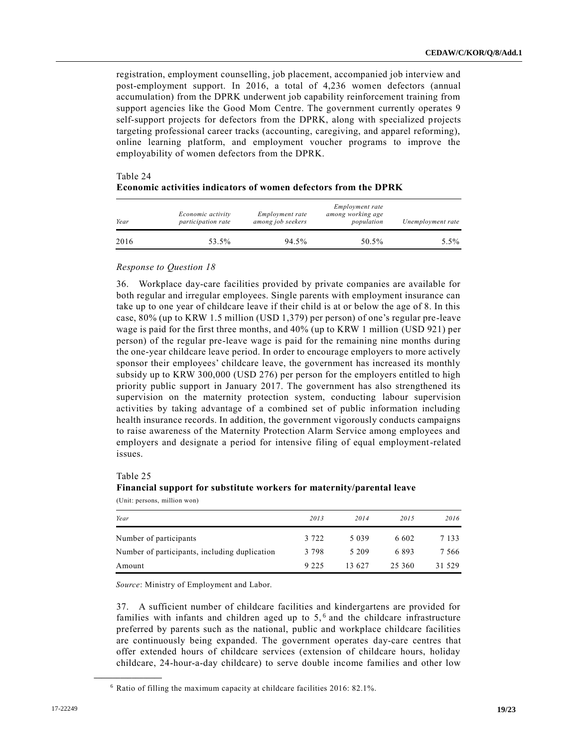registration, employment counselling, job placement, accompanied job interview and post-employment support. In 2016, a total of 4,236 women defectors (annual accumulation) from the DPRK underwent job capability reinforcement training from support agencies like the Good Mom Centre. The government currently operates 9 self-support projects for defectors from the DPRK, along with specialized projects targeting professional career tracks (accounting, caregiving, and apparel reforming), online learning platform, and employment voucher programs to improve the employability of women defectors from the DPRK.

| Year | Economic activity<br>participation rate | Employment rate<br>among job seekers | Employment rate<br>among working age<br>population | Unemployment rate |
|------|-----------------------------------------|--------------------------------------|----------------------------------------------------|-------------------|
| 2016 | 53.5%                                   | 94.5%                                | 50.5%                                              | 5.5%              |

# Table 24 **Economic activities indicators of women defectors from the DPRK**

## *Response to Question 18*

36. Workplace day-care facilities provided by private companies are available for both regular and irregular employees. Single parents with employment insurance can take up to one year of childcare leave if their child is at or below the age of 8. In this case, 80% (up to KRW 1.5 million (USD 1,379) per person) of one's regular pre-leave wage is paid for the first three months, and 40% (up to KRW 1 million (USD 921) per person) of the regular pre-leave wage is paid for the remaining nine months during the one-year childcare leave period. In order to encourage employers to more actively sponsor their employees' childcare leave, the government has increased its monthly subsidy up to KRW 300,000 (USD 276) per person for the employers entitled to high priority public support in January 2017. The government has also strengthened its supervision on the maternity protection system, conducting labour supervision activities by taking advantage of a combined set of public information including health insurance records. In addition, the government vigorously conducts campaigns to raise awareness of the Maternity Protection Alarm Service among employees and employers and designate a period for intensive filing of equal employment-related issues.

#### Table 25

**\_\_\_\_\_\_\_\_\_\_\_\_\_\_\_\_\_\_**

## **Financial support for substitute workers for maternity/parental leave** (Unit: persons, million won)

| Year                                          | 2013    | 2014    | 2015   | 2016    |
|-----------------------------------------------|---------|---------|--------|---------|
| Number of participants                        | 3 7 2 2 | 5 0 3 9 | 6.602  | 7 1 3 3 |
| Number of participants, including duplication | 3 7 9 8 | 5 2 0 9 | 6893   | 7 5 6 6 |
| Amount                                        | 9 2 2 5 | 13.627  | 25 360 | 31 529  |

*Source*: Ministry of Employment and Labor.

37. A sufficient number of childcare facilities and kindergartens are provided for families with infants and children aged up to  $5<sub>1</sub>$ <sup>6</sup> and the childcare infrastructure preferred by parents such as the national, public and workplace childcare facilities are continuously being expanded. The government operates day-care centres that offer extended hours of childcare services (extension of childcare hours, holiday childcare, 24-hour-a-day childcare) to serve double income families and other low

<sup>6</sup> Ratio of filling the maximum capacity at childcare facilities 2016: 82.1%.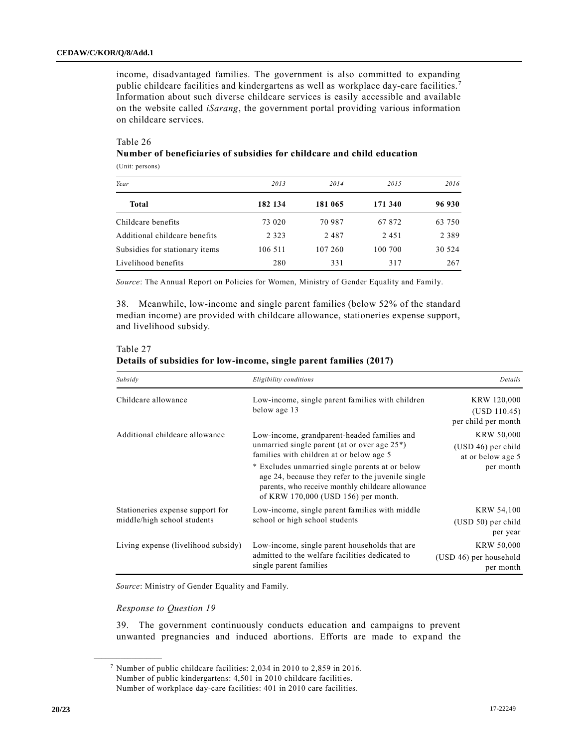income, disadvantaged families. The government is also committed to expanding public childcare facilities and kindergartens as well as workplace day-care facilities.<sup>7</sup> Information about such diverse childcare services is easily accessible and available on the website called *iSarang*, the government portal providing various information on childcare services.

# Table 26

## **Number of beneficiaries of subsidies for childcare and child education** (Unit: persons)

| Year                           | 2013    | 2014    | 2015    | 2016    |
|--------------------------------|---------|---------|---------|---------|
| Total                          | 182 134 | 181 065 | 171 340 | 96 930  |
| Childcare benefits             | 73 020  | 70 987  | 67 872  | 63 750  |
| Additional childcare benefits  | 2 3 2 3 | 2487    | 2451    | 2 3 8 9 |
| Subsidies for stationary items | 106 511 | 107 260 | 100 700 | 30 524  |
| Livelihood benefits            | 280     | 331     | 317     | 267     |

*Source*: The Annual Report on Policies for Women, Ministry of Gender Equality and Family.

38. Meanwhile, low-income and single parent families (below 52% of the standard median income) are provided with childcare allowance, stationeries expense support, and livelihood subsidy.

# Table 27 **Details of subsidies for low-income, single parent families (2017)**

| Subsidy                                                         | Eligibility conditions                                                                                                                                                                                                                                                                                                                         | Details                                                            |
|-----------------------------------------------------------------|------------------------------------------------------------------------------------------------------------------------------------------------------------------------------------------------------------------------------------------------------------------------------------------------------------------------------------------------|--------------------------------------------------------------------|
| Childcare allowance                                             | Low-income, single parent families with children<br>below age 13                                                                                                                                                                                                                                                                               | KRW 120,000<br>(USD 110.45)<br>per child per month                 |
| Additional childcare allowance                                  | Low-income, grandparent-headed families and<br>unmarried single parent (at or over age $25^*$ )<br>families with children at or below age 5<br>* Excludes unmarried single parents at or below<br>age 24, because they refer to the juvenile single<br>parents, who receive monthly childcare allowance<br>of KRW 170,000 (USD 156) per month. | KRW 50,000<br>(USD 46) per child<br>at or below age 5<br>per month |
| Stationeries expense support for<br>middle/high school students | Low-income, single parent families with middle<br>school or high school students                                                                                                                                                                                                                                                               | KRW 54,100<br>$(USD 50)$ per child<br>per year                     |
| Living expense (livelihood subsidy)                             | Low-income, single parent households that are<br>admitted to the welfare facilities dedicated to<br>single parent families                                                                                                                                                                                                                     | KRW 50,000<br>(USD 46) per household<br>per month                  |

*Source*: Ministry of Gender Equality and Family.

## *Response to Question 19*

**\_\_\_\_\_\_\_\_\_\_\_\_\_\_\_\_\_\_**

39. The government continuously conducts education and campaigns to prevent unwanted pregnancies and induced abortions. Efforts are made to expand the

<sup>7</sup> Number of public childcare facilities: 2,034 in 2010 to 2,859 in 2016. Number of public kindergartens: 4,501 in 2010 childcare facilities. Number of workplace day-care facilities: 401 in 2010 care facilities.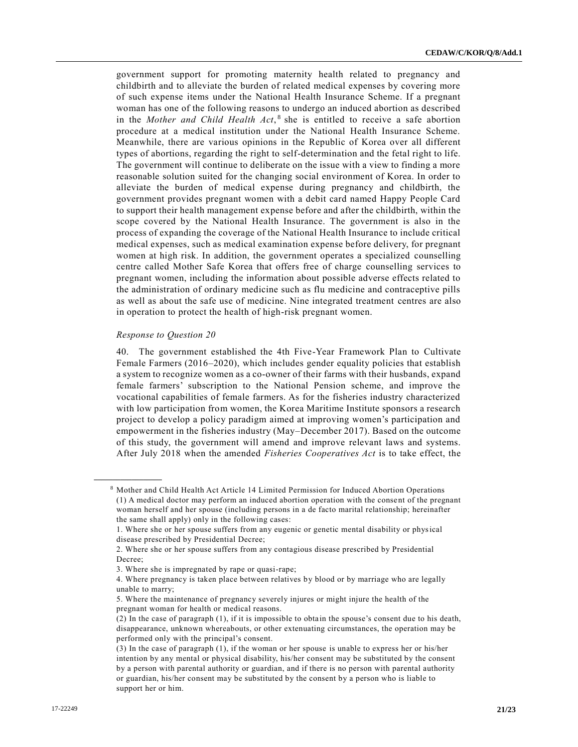government support for promoting maternity health related to pregnancy and childbirth and to alleviate the burden of related medical expenses by covering more of such expense items under the National Health Insurance Scheme. If a pregnant woman has one of the following reasons to undergo an induced abortion as described in the *Mother and Child Health Act*,<sup>8</sup> she is entitled to receive a safe abortion procedure at a medical institution under the National Health Insurance Scheme. Meanwhile, there are various opinions in the Republic of Korea over all different types of abortions, regarding the right to self-determination and the fetal right to life. The government will continue to deliberate on the issue with a view to finding a more reasonable solution suited for the changing social environment of Korea. In order to alleviate the burden of medical expense during pregnancy and childbirth, the government provides pregnant women with a debit card named Happy People Card to support their health management expense before and after the childbirth, within the scope covered by the National Health Insurance. The government is also in the process of expanding the coverage of the National Health Insurance to include critical medical expenses, such as medical examination expense before delivery, for pregnant women at high risk. In addition, the government operates a specialized counselling centre called Mother Safe Korea that offers free of charge counselling services to pregnant women, including the information about possible adverse effects related to the administration of ordinary medicine such as flu medicine and contraceptive pills as well as about the safe use of medicine. Nine integrated treatment centres are also in operation to protect the health of high-risk pregnant women.

## *Response to Question 20*

**\_\_\_\_\_\_\_\_\_\_\_\_\_\_\_\_\_\_**

40. The government established the 4th Five-Year Framework Plan to Cultivate Female Farmers (2016–2020), which includes gender equality policies that establish a system to recognize women as a co-owner of their farms with their husbands, expand female farmers' subscription to the National Pension scheme, and improve the vocational capabilities of female farmers. As for the fisheries industry characterized with low participation from women, the Korea Maritime Institute sponsors a research project to develop a policy paradigm aimed at improving women's participation and empowerment in the fisheries industry (May–December 2017). Based on the outcome of this study, the government will amend and improve relevant laws and systems. After July 2018 when the amended *Fisheries Cooperatives Act* is to take effect, the

<sup>8</sup> Mother and Child Health Act Article 14 Limited Permission for Induced Abortion Operations (1) A medical doctor may perform an induced abortion operation with the consent of the pregnant woman herself and her spouse (including persons in a de facto marital relationship; hereinafter the same shall apply) only in the following cases:

<sup>1.</sup> Where she or her spouse suffers from any eugenic or genetic mental disability or physical disease prescribed by Presidential Decree;

<sup>2.</sup> Where she or her spouse suffers from any contagious disease prescribed by Presidential Decree;

<sup>3.</sup> Where she is impregnated by rape or quasi-rape;

<sup>4.</sup> Where pregnancy is taken place between relatives by blood or by marriage who are legally unable to marry;

<sup>5.</sup> Where the maintenance of pregnancy severely injures or might injure the health of the pregnant woman for health or medical reasons.

<sup>(2)</sup> In the case of paragraph (1), if it is impossible to obta in the spouse's consent due to his death, disappearance, unknown whereabouts, or other extenuating circumstances, the operation may be performed only with the principal's consent.

<sup>(3)</sup> In the case of paragraph (1), if the woman or her spouse is unable to express her or his/her intention by any mental or physical disability, his/her consent may be substituted by the consent by a person with parental authority or guardian, and if there is no person with parental authority or guardian, his/her consent may be substituted by the consent by a person who is liable to support her or him.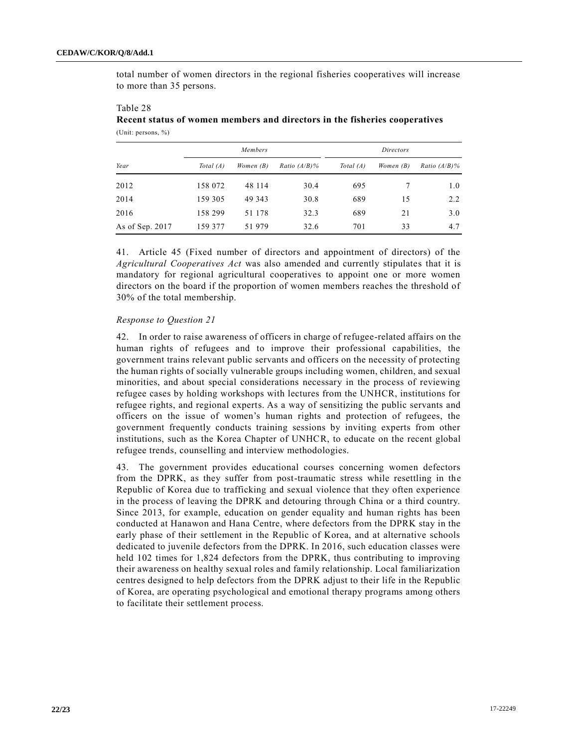Table 28

total number of women directors in the regional fisheries cooperatives will increase to more than 35 persons.

| Members         |             | <i>Directors</i> |                 |             |             |                 |
|-----------------|-------------|------------------|-----------------|-------------|-------------|-----------------|
| Year            | Total $(A)$ | Women $(B)$      | Ratio $(A/B)\%$ | Total $(A)$ | Women $(B)$ | Ratio $(A/B)\%$ |
| 2012            | 158 072     | 48 114           | 30.4            | 695         |             | 1.0             |
| 2014            | 159 305     | 49 343           | 30.8            | 689         | 15          | 2.2             |
| 2016            | 158 299     | 51 178           | 32.3            | 689         | 21          | 3.0             |
| As of Sep. 2017 | 159 377     | 51979            | 32.6            | 701         | 33          | 4.7             |

| 1001000                                                                    |  |  |  |  |
|----------------------------------------------------------------------------|--|--|--|--|
| Recent status of women members and directors in the fisheries cooperatives |  |  |  |  |
| (Unit: persons, $\%$ )                                                     |  |  |  |  |

41. Article 45 (Fixed number of directors and appointment of directors) of the *Agricultural Cooperatives Act* was also amended and currently stipulates that it is mandatory for regional agricultural cooperatives to appoint one or more women directors on the board if the proportion of women members reaches the threshold of 30% of the total membership.

## *Response to Question 21*

42. In order to raise awareness of officers in charge of refugee-related affairs on the human rights of refugees and to improve their professional capabilities, the government trains relevant public servants and officers on the necessity of protecting the human rights of socially vulnerable groups including women, children, and sexual minorities, and about special considerations necessary in the process of reviewing refugee cases by holding workshops with lectures from the UNHCR, institutions for refugee rights, and regional experts. As a way of sensitizing the public servants and officers on the issue of women's human rights and protection of refugees, the government frequently conducts training sessions by inviting experts from other institutions, such as the Korea Chapter of UNHCR, to educate on the recent global refugee trends, counselling and interview methodologies.

43. The government provides educational courses concerning women defectors from the DPRK, as they suffer from post-traumatic stress while resettling in the Republic of Korea due to trafficking and sexual violence that they often experience in the process of leaving the DPRK and detouring through China or a third country. Since 2013, for example, education on gender equality and human rights has been conducted at Hanawon and Hana Centre, where defectors from the DPRK stay in the early phase of their settlement in the Republic of Korea, and at alternative schools dedicated to juvenile defectors from the DPRK. In 2016, such education classes were held 102 times for 1,824 defectors from the DPRK, thus contributing to improving their awareness on healthy sexual roles and family relationship. Local familiarization centres designed to help defectors from the DPRK adjust to their life in the Republic of Korea, are operating psychological and emotional therapy programs among others to facilitate their settlement process.